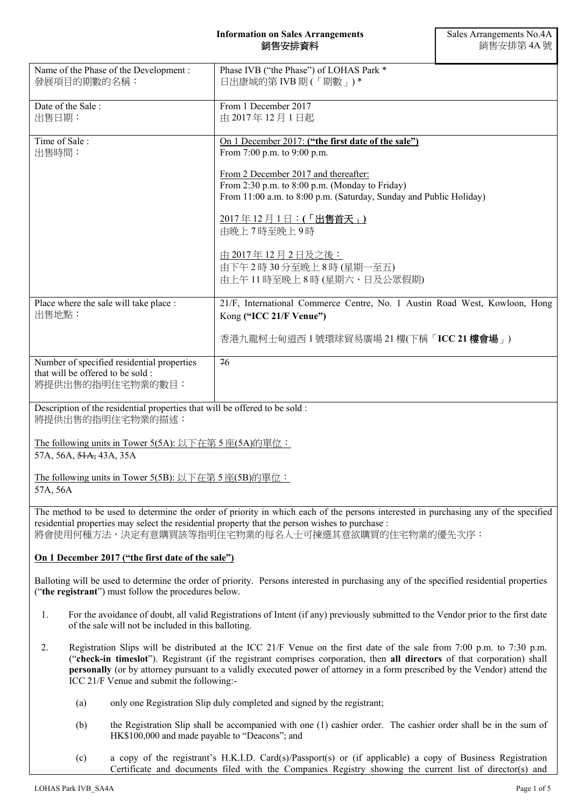### **Information on Sales Arrangements**  銷售安排資料

| Name of the Phase of the Development :<br>發展項目的期數的名稱:                                               | Phase IVB ("the Phase") of LOHAS Park *<br>日出康城的第 IVB 期(「期數」)*                                                                                                                         |  |
|-----------------------------------------------------------------------------------------------------|----------------------------------------------------------------------------------------------------------------------------------------------------------------------------------------|--|
| Date of the Sale:<br>出售日期:                                                                          | From 1 December 2017<br>由 2017年12月1日起                                                                                                                                                  |  |
| Time of Sale:<br>出售時間:                                                                              | On 1 December 2017: ("the first date of the sale")<br>From 7:00 p.m. to 9:00 p.m.                                                                                                      |  |
|                                                                                                     | From 2 December 2017 and thereafter:<br>From 2:30 p.m. to 8:00 p.m. (Monday to Friday)<br>From 11:00 a.m. to 8:00 p.m. (Saturday, Sunday and Public Holiday)                           |  |
|                                                                                                     | 2017年12月1日: (「出售首天」)<br>由晚上7時至晚上9時                                                                                                                                                     |  |
|                                                                                                     | 由 2017年12月2日及之後:<br>由下午2時30分至晚上8時(星期一至五)<br>由上午11時至晚上8時(星期六、日及公眾假期)                                                                                                                    |  |
| Place where the sale will take place :<br>出售地點:                                                     | 21/F, International Commerce Centre, No. 1 Austin Road West, Kowloon, Hong<br>Kong ("ICC 21/F Venue")                                                                                  |  |
|                                                                                                     | 香港九龍柯士甸道西1號環球貿易廣場 21樓(下稱「ICC 21樓會場」)                                                                                                                                                   |  |
| Number of specified residential properties<br>that will be offered to be sold :<br>將提供出售的指明住宅物業的數目: | 76                                                                                                                                                                                     |  |
| Description of the residential properties that will be offered to be sold :<br>將提供出售的指明住宅物業的描述:     |                                                                                                                                                                                        |  |
| The following units in Tower 5(5A): 以下在第5座(5A)的單位:<br>57A, 56A, <del>51A,</del> 43A, 35A            |                                                                                                                                                                                        |  |
| The following units in Tower 5(5B): 以下在第5座(5B)的單位:<br>57A, 56A                                      |                                                                                                                                                                                        |  |
| residential properties may select the residential property that the person wishes to purchase :     | The method to be used to determine the order of priority in which each of the persons interested in purchasing any of the specified<br>將會使用何種方法,決定有意購買該等指明住宅物業的每名人士可揀選其意欲購買的住宅物業的優先次序: |  |
| On 1 December 2017 ("the first date of the sale")                                                   |                                                                                                                                                                                        |  |
|                                                                                                     | Balloting will be used to determine the order of priority. Persons interested in purchasing any of the specified residential properties                                                |  |

- 1. For the avoidance of doubt, all valid Registrations of Intent (if any) previously submitted to the Vendor prior to the first date of the sale will not be included in this balloting.
- 2. Registration Slips will be distributed at the ICC 21/F Venue on the first date of the sale from 7:00 p.m. to 7:30 p.m. ("**check-in timeslot**"). Registrant (if the registrant comprises corporation, then **all directors** of that corporation) shall **personally** (or by attorney pursuant to a validly executed power of attorney in a form prescribed by the Vendor) attend the ICC 21/F Venue and submit the following:-
	- (a) only one Registration Slip duly completed and signed by the registrant;
	- (b) the Registration Slip shall be accompanied with one (1) cashier order. The cashier order shall be in the sum of HK\$100,000 and made payable to "Deacons"; and
	- (c) a copy of the registrant's H.K.I.D. Card(s)/Passport(s) or (if applicable) a copy of Business Registration Certificate and documents filed with the Companies Registry showing the current list of director(s) and

("**the registrant**") must follow the procedures below.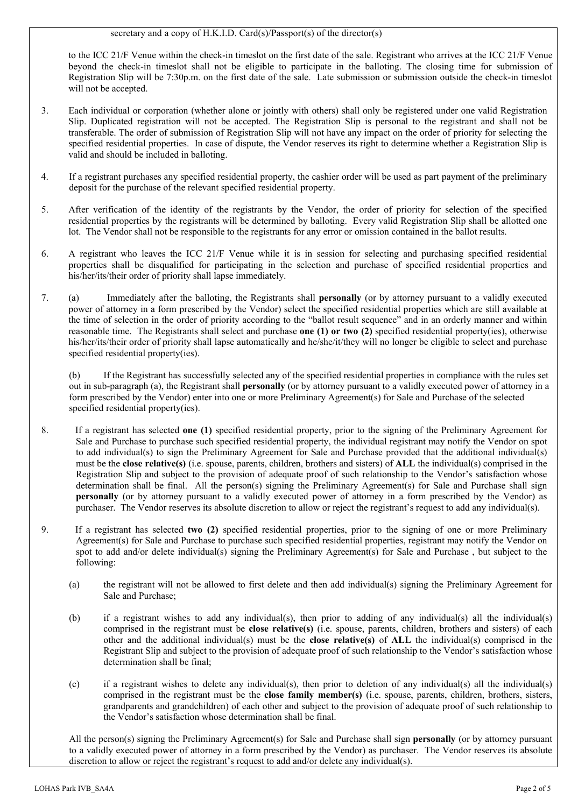### secretary and a copy of H.K.I.D. Card(s)/Passport(s) of the director(s)

to the ICC 21/F Venue within the check-in timeslot on the first date of the sale. Registrant who arrives at the ICC 21/F Venue beyond the check-in timeslot shall not be eligible to participate in the balloting. The closing time for submission of Registration Slip will be 7:30p.m. on the first date of the sale. Late submission or submission outside the check-in timeslot will not be accepted.

- 3. Each individual or corporation (whether alone or jointly with others) shall only be registered under one valid Registration Slip. Duplicated registration will not be accepted. The Registration Slip is personal to the registrant and shall not be transferable. The order of submission of Registration Slip will not have any impact on the order of priority for selecting the specified residential properties. In case of dispute, the Vendor reserves its right to determine whether a Registration Slip is valid and should be included in balloting.
- 4. If a registrant purchases any specified residential property, the cashier order will be used as part payment of the preliminary deposit for the purchase of the relevant specified residential property.
- 5. After verification of the identity of the registrants by the Vendor, the order of priority for selection of the specified residential properties by the registrants will be determined by balloting. Every valid Registration Slip shall be allotted one lot. The Vendor shall not be responsible to the registrants for any error or omission contained in the ballot results.
- 6. A registrant who leaves the ICC 21/F Venue while it is in session for selecting and purchasing specified residential properties shall be disqualified for participating in the selection and purchase of specified residential properties and his/her/its/their order of priority shall lapse immediately.
- 7. (a) Immediately after the balloting, the Registrants shall **personally** (or by attorney pursuant to a validly executed power of attorney in a form prescribed by the Vendor) select the specified residential properties which are still available at the time of selection in the order of priority according to the "ballot result sequence" and in an orderly manner and within reasonable time. The Registrants shall select and purchase **one (1) or two (2)** specified residential property(ies), otherwise his/her/its/their order of priority shall lapse automatically and he/she/it/they will no longer be eligible to select and purchase specified residential property(ies).

(b) If the Registrant has successfully selected any of the specified residential properties in compliance with the rules set out in sub-paragraph (a), the Registrant shall **personally** (or by attorney pursuant to a validly executed power of attorney in a form prescribed by the Vendor) enter into one or more Preliminary Agreement(s) for Sale and Purchase of the selected specified residential property(ies).

- 8. If a registrant has selected **one (1)** specified residential property, prior to the signing of the Preliminary Agreement for Sale and Purchase to purchase such specified residential property, the individual registrant may notify the Vendor on spot to add individual(s) to sign the Preliminary Agreement for Sale and Purchase provided that the additional individual(s) must be the **close relative(s)** (i.e. spouse, parents, children, brothers and sisters) of **ALL** the individual(s) comprised in the Registration Slip and subject to the provision of adequate proof of such relationship to the Vendor's satisfaction whose determination shall be final. All the person(s) signing the Preliminary Agreement(s) for Sale and Purchase shall sign **personally** (or by attorney pursuant to a validly executed power of attorney in a form prescribed by the Vendor) as purchaser. The Vendor reserves its absolute discretion to allow or reject the registrant's request to add any individual(s).
- 9. If a registrant has selected **two (2)** specified residential properties, prior to the signing of one or more Preliminary Agreement(s) for Sale and Purchase to purchase such specified residential properties, registrant may notify the Vendor on spot to add and/or delete individual(s) signing the Preliminary Agreement(s) for Sale and Purchase , but subject to the following:
	- (a) the registrant will not be allowed to first delete and then add individual(s) signing the Preliminary Agreement for Sale and Purchase;
	- (b) if a registrant wishes to add any individual(s), then prior to adding of any individual(s) all the individual(s) comprised in the registrant must be **close relative(s)** (i.e. spouse, parents, children, brothers and sisters) of each other and the additional individual(s) must be the **close relative(s)** of **ALL** the individual(s) comprised in the Registrant Slip and subject to the provision of adequate proof of such relationship to the Vendor's satisfaction whose determination shall be final;
	- (c) if a registrant wishes to delete any individual(s), then prior to deletion of any individual(s) all the individual(s) comprised in the registrant must be the **close family member(s)** (i.e. spouse, parents, children, brothers, sisters, grandparents and grandchildren) of each other and subject to the provision of adequate proof of such relationship to the Vendor's satisfaction whose determination shall be final.

All the person(s) signing the Preliminary Agreement(s) for Sale and Purchase shall sign **personally** (or by attorney pursuant to a validly executed power of attorney in a form prescribed by the Vendor) as purchaser. The Vendor reserves its absolute discretion to allow or reject the registrant's request to add and/or delete any individual(s).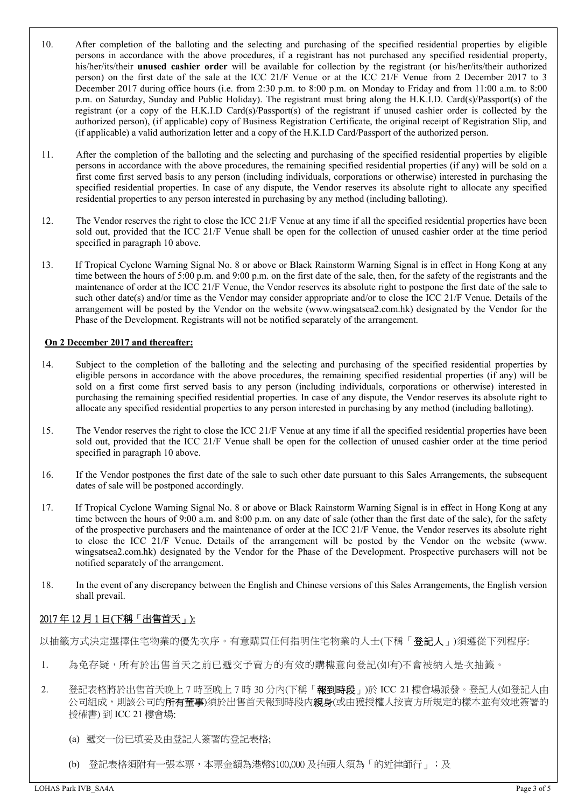- 10. After completion of the balloting and the selecting and purchasing of the specified residential properties by eligible persons in accordance with the above procedures, if a registrant has not purchased any specified residential property, his/her/its/their **unused cashier order** will be available for collection by the registrant (or his/her/its/their authorized person) on the first date of the sale at the ICC 21/F Venue or at the ICC 21/F Venue from 2 December 2017 to 3 December 2017 during office hours (i.e. from 2:30 p.m. to 8:00 p.m. on Monday to Friday and from 11:00 a.m. to 8:00 p.m. on Saturday, Sunday and Public Holiday). The registrant must bring along the H.K.I.D. Card(s)/Passport(s) of the registrant (or a copy of the H.K.I.D Card(s)/Passport(s) of the registrant if unused cashier order is collected by the authorized person), (if applicable) copy of Business Registration Certificate, the original receipt of Registration Slip, and (if applicable) a valid authorization letter and a copy of the H.K.I.D Card/Passport of the authorized person.
- 11. After the completion of the balloting and the selecting and purchasing of the specified residential properties by eligible persons in accordance with the above procedures, the remaining specified residential properties (if any) will be sold on a first come first served basis to any person (including individuals, corporations or otherwise) interested in purchasing the specified residential properties. In case of any dispute, the Vendor reserves its absolute right to allocate any specified residential properties to any person interested in purchasing by any method (including balloting).
- 12. The Vendor reserves the right to close the ICC 21/F Venue at any time if all the specified residential properties have been sold out, provided that the ICC 21/F Venue shall be open for the collection of unused cashier order at the time period specified in paragraph 10 above.
- 13. If Tropical Cyclone Warning Signal No. 8 or above or Black Rainstorm Warning Signal is in effect in Hong Kong at any time between the hours of 5:00 p.m. and 9:00 p.m. on the first date of the sale, then, for the safety of the registrants and the maintenance of order at the ICC 21/F Venue, the Vendor reserves its absolute right to postpone the first date of the sale to such other date(s) and/or time as the Vendor may consider appropriate and/or to close the ICC 21/F Venue. Details of the arrangement will be posted by the Vendor on the website (www.wingsatsea2.com.hk) designated by the Vendor for the Phase of the Development. Registrants will not be notified separately of the arrangement.

## **On 2 December 2017 and thereafter:**

- 14. Subject to the completion of the balloting and the selecting and purchasing of the specified residential properties by eligible persons in accordance with the above procedures, the remaining specified residential properties (if any) will be sold on a first come first served basis to any person (including individuals, corporations or otherwise) interested in purchasing the remaining specified residential properties. In case of any dispute, the Vendor reserves its absolute right to allocate any specified residential properties to any person interested in purchasing by any method (including balloting).
- 15. The Vendor reserves the right to close the ICC 21/F Venue at any time if all the specified residential properties have been sold out, provided that the ICC 21/F Venue shall be open for the collection of unused cashier order at the time period specified in paragraph 10 above.
- 16. If the Vendor postpones the first date of the sale to such other date pursuant to this Sales Arrangements, the subsequent dates of sale will be postponed accordingly.
- 17. If Tropical Cyclone Warning Signal No. 8 or above or Black Rainstorm Warning Signal is in effect in Hong Kong at any time between the hours of 9:00 a.m. and 8:00 p.m. on any date of sale (other than the first date of the sale), for the safety of the prospective purchasers and the maintenance of order at the ICC 21/F Venue, the Vendor reserves its absolute right to close the ICC 21/F Venue. Details of the arrangement will be posted by the Vendor on the website (www. wingsatsea2.com.hk) designated by the Vendor for the Phase of the Development. Prospective purchasers will not be notified separately of the arrangement.
- 18. In the event of any discrepancy between the English and Chinese versions of this Sales Arrangements, the English version shall prevail.

# 2017 年 12 月 1 日(下稱「出售首天」):

以抽籤方式決定選擇住宅物業的優先次序。有意購買任何指明住宅物業的人士(下稱「**登記人**」)須遵從下列程序:

- 1. 為免存疑,所有於出售首天之前已遞交予賣方的有效的購樓意向登記(如有)不會被納入是次抽籤。
- 2. 登記表格將於出售首天晚上7時至晚上7時 30分內(下稱「**報到時段**」)於 ICC 21樓會場派發。登記人(如登記人由 公司組成,則該公司的**所有董事**)須於出售首天報到時段内**親身**(或由獲授權人按賣方所規定的樣本並有效地簽署的 授權書) 到 ICC 21 樓會場:
	- (a) 遞交一份已填妥及由登記人簽署的登記表格;
	- (b) 登記表格須附有一張本票,本票金額為港幣\$100,000 及抬頭人須為「的近律師行」;及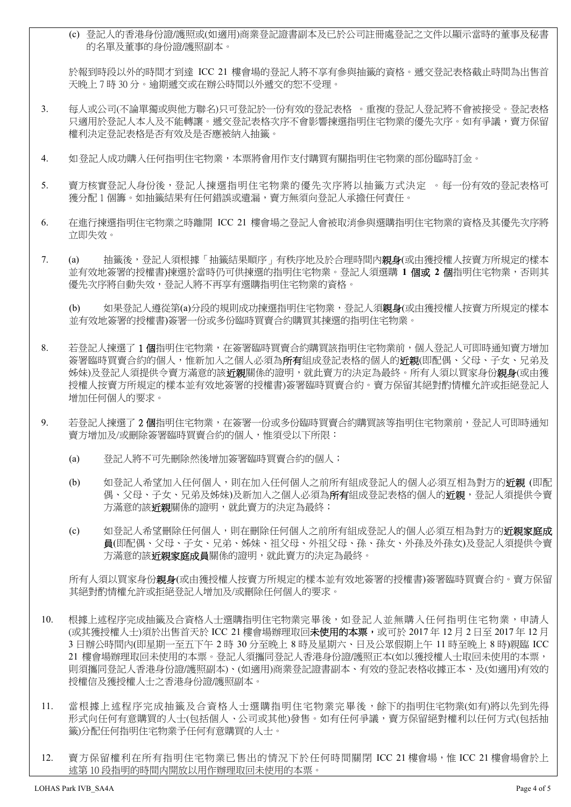(c) 登記人的香港身份證/護照或(如適用)商業登記證書副本及已於公司註冊處登記之文件以顯示當時的董事及秘書 的名單及董事的身份證/護照副本。

於報到時段以外的時間才到達 ICC 21 樓會場的登記人將不享有參與抽籤的資格。遞交登記表格截止時間為出售首 天晚上 7 時 30 分。逾期遞交或在辦公時間以外遞交的恕不受理。

- 3. 每人或公司(不論單獨或與他方聯名)只可登記於一份有效的登記表格 。重複的登記人登記將不會被接受。登記表格 只適用於登記人本人及不能轉讓。遞交登記表格次序不會影響揀選指明住宅物業的優先次序。如有爭議,賣方保留 權利決定登記表格是否有效及是否應被納入抽籤。
- 4. 如登記人成功購入任何指明住宅物業,本票將會用作支付購買有關指明住宅物業的部份臨時訂金。
- 5. 賣方核實登記人身份後,登記人揀選指明住宅物業的優先次序將以抽籤方式決定 。每一份有效的登記表格可 獲分配 1 個籌。如抽籤結果有任何錯誤或遺漏,賣方無須向登記人承擔任何責任。
- 6. 在進行揀選指明住宅物業之時離開 ICC 21 樓會場之登記人會被取消參與選購指明住宅物業的資格及其優先次序將 立即失效。
- 7. (a) 抽籤後,登記人須根據「抽籤結果順序」有秩序地及於合理時間内**親身**(或由獲授權人按賣方所規定的樣本 並有效地簽署的授權書)揀選於當時仍可供揀選的指明住宅物業。登記人須選購 **1** 個或 **2** 個指明住宅物業,否則其 優先次序將自動失效,登記人將不再享有選購指明住宅物業的資格。

(b) 如果登記人遵從第(a)分段的規則成功揀選指明住宅物業,登記人須親身(或由獲授權人按賣方所規定的樣本 並有效地簽署的授權書)簽署一份或多份臨時買賣合約購買其揀選的指明住宅物業。

- 8. 若登記人揀選了 1個指明住宅物業,在簽署臨時買賣合約購買該指明住宅物業前,個人登記人可即時通知賣方增加 簽署臨時買賣合約的個人,惟新加入之個人必須為**所有**組成登記表格的個人的**近親**(即配偶、父母、子女、兄弟及 姊妹)及登記人須提供令賣方滿意的該**近親**關係的證明,就此賣方的決定為最終。所有人須以買家身份**親身**(或由獲 授權人按賣方所規定的樣本並有效地簽署的授權書)簽署臨時買賣合約。賣方保留其絕對酌情權允許或拒絕登記人 增加任何個人的要求。
- 9. 若登記人揀選了 2 個指明住宅物業,在簽署一份或多份臨時買賣合約購買該等指明住宅物業前,登記人可即時通知 賣方增加及/或刪除簽署臨時買賣合約的個人,惟須受以下所限:
	- (a) 登記人將不可先刪除然後增加簽署臨時買賣合約的個人;
	- (b) 如登記人希望加入任何個人,則在加入任何個人之前所有組成登記人的個人必須互相為對方的近親 (即配 偶、父母、子女、兄弟及姊妹)及新加入之個人必須為所有組成登記表格的個人的近親,登記人須提供令賣 方滿意的該近親關係的證明,就此賣方的決定為最終;
	- (c) 如登記人希望刪除任何個人,則在刪除任何個人之前所有組成登記人的個人必須互相為對方的**近親家庭成** 員(即配偶、父母、子女、兄弟、姊妹、祖父母、外祖父母、孫、孫女、外孫及外孫女)及登記人須提供令賣 方滿意的該**近親家庭成員**關係的證明,就此賣方的決定為最終。

所有人須以買家身份**親身**(或由獲授權人按賣方所規定的樣本並有效地簽署的授權書)簽署臨時買賣合約。賣方保留 其絕對酌情權允許或拒絕登記人增加及/或刪除任何個人的要求。

- 10. 根據上述程序完成抽籤及合資格人士選購指明住宅物業完畢後,如登記人並無購入任何指明住宅物業,申請人 (或其獲授權人士)須於出售首天於 ICC 21 樓會場辦理取回**未使用的本票,**或可於 2017 年 12 月 2 日至 2017 年 12 月 3 日辦公時間內(即星期一至五下午 2 時 30 分至晚上 8 時及星期六、日及公眾假期上午 11 時至晚上 8 時)親臨 ICC 21 樓會場辦理取回未使用的本票。登記人須攜同登記人香港身份證/護照正本(如以獲授權人士取回未使用的本票, 則須攜同登記人香港身份證/護照副本)、(如適用)商業登記證書副本、有效的登記表格收據正本、及(如適用)有效的 授權信及獲授權人士之香港身份證/護照副本。
- 11. 當根據上述程序完成抽籤及合資格人士選購指明住宅物業完畢後,餘下的指明住宅物業(如有)將以先到先得 形式向任何有意購買的人士(包括個人、公司或其他)發售。如有任何爭議,賣方保留絕對權利以任何方式(包括抽 籤)分配任何指明住宅物業予任何有意購買的人士。
- 12. 賣方保留權利在所有指明住宅物業已售出的情況下於任何時間關閉 ICC 21 樓會場,惟 ICC 21 樓會場會於上 述第 10 段指明的時間内開放以用作辦理取回未使用的本票。